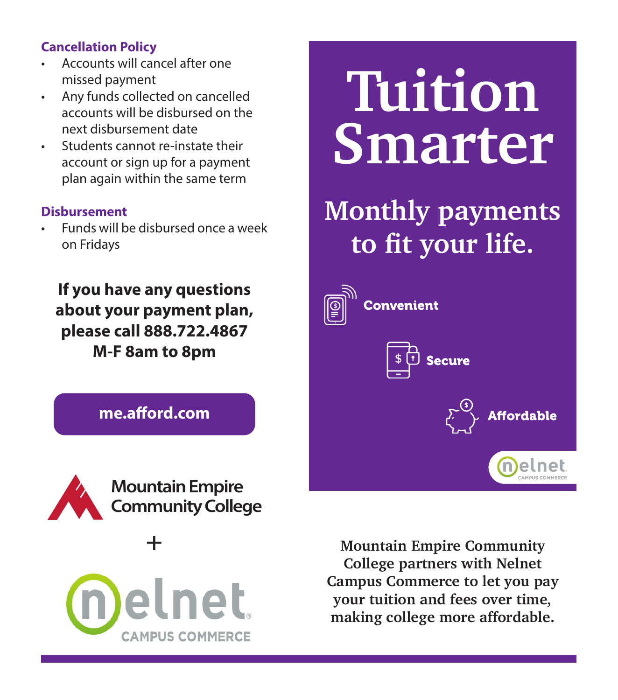# **Enrollment Cancellation Policy**

- **Fee** Accounts will cancel after one missed payment
- $\blacksquare$  Deposited to the statement of  $\blacksquare$ • Any funds collected on cancelled accounts will be disbursed on the next disbursement date

 **Terms**

Reposite Soluts cannot re-instate their<br> **SMATTET**<br> **BMATTET** \$45 60% Deposit+ 1 Payment 2/16/2020 1/17/2020 • Students cannot re-instate their account or sign up for a payment plan again within the same term

#### **Disbursement**

**Payments to fit your life.** • Funds will be disbursed once a week on Fridays

**If you have any questions about your payment plan about your payment plan, please call 888.722.4867 please call 888.722.4867 M-F 8am to 8pm If you have any questions M-F 8am to 8pm**



**Mountain Empire Community College partners with Nelnet Campus Commerce to let you pay your tuition and fees over time, making college more affordable.**

**Secure** 

ordable

Tuition

**Convenient** 

**Last Date to**